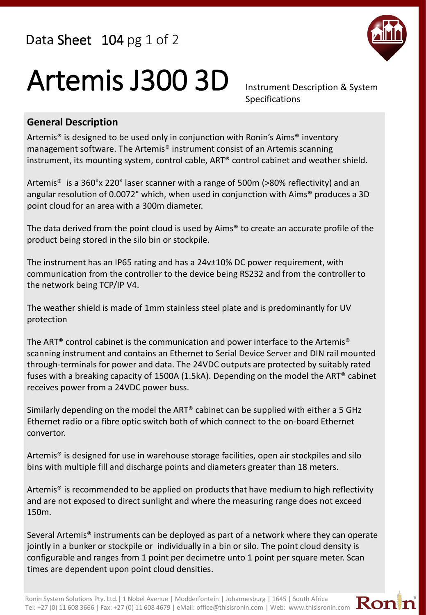Data Sheet 104 pg 1 of 2



## Artemis J300 3D Instrument Description & System

Specifications

## **General Description**

Artemis® is designed to be used only in conjunction with Ronin's Aims® inventory management software. The Artemis® instrument consist of an Artemis scanning instrument, its mounting system, control cable, ART® control cabinet and weather shield.

Artemis® is a 360°x 220° laser scanner with a range of 500m (>80% reflectivity) and an angular resolution of 0.0072° which, when used in conjunction with Aims® produces a 3D point cloud for an area with a 300m diameter.

The data derived from the point cloud is used by Aims® to create an accurate profile of the product being stored in the silo bin or stockpile.

The instrument has an IP65 rating and has a 24v±10% DC power requirement, with communication from the controller to the device being RS232 and from the controller to the network being TCP/IP V4.

The weather shield is made of 1mm stainless steel plate and is predominantly for UV protection

The ART® control cabinet is the communication and power interface to the Artemis® scanning instrument and contains an Ethernet to Serial Device Server and DIN rail mounted through-terminals for power and data. The 24VDC outputs are protected by suitably rated fuses with a breaking capacity of 1500A (1.5kA). Depending on the model the ART® cabinet receives power from a 24VDC power buss.

Similarly depending on the model the ART® cabinet can be supplied with either a 5 GHz Ethernet radio or a fibre optic switch both of which connect to the on-board Ethernet convertor.

Artemis® is designed for use in warehouse storage facilities, open air stockpiles and silo bins with multiple fill and discharge points and diameters greater than 18 meters.

Artemis® is recommended to be applied on products that have medium to high reflectivity and are not exposed to direct sunlight and where the measuring range does not exceed 150m.

Several Artemis® instruments can be deployed as part of a network where they can operate jointly in a bunker or stockpile or individually in a bin or silo. The point cloud density is configurable and ranges from 1 point per decimetre unto 1 point per square meter. Scan times are dependent upon point cloud densities.